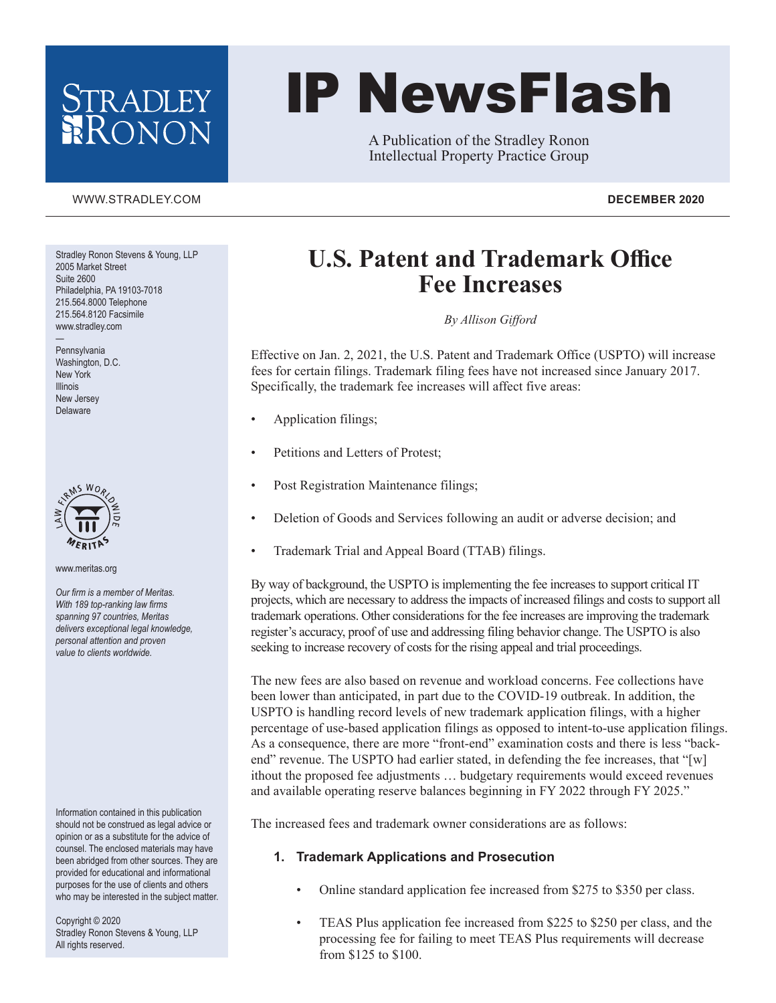## RADLEY ONON

# IP NewsFlash

A Publication of the Stradley Ronon Intellectual Property Practice Group

#### [WWW.STRADLEY.COM](www.stradley.com) **DECEMBER 2020**

Stradley Ronon Stevens & Young, LLP 2005 Market Street Suite 2600 Philadelphia, PA 19103-7018 215.564.8000 Telephone 215.564.8120 Facsimile www.stradley.com

— Pennsylvania Washington, D.C. New York Illinois New Jersey Delaware



www.meritas.org

*Our firm is a member of Meritas. With 189 top-ranking law firms spanning 97 countries, Meritas delivers exceptional legal knowledge, personal attention and proven value to clients worldwide.*

Information contained in this publication should not be construed as legal advice or opinion or as a substitute for the advice of counsel. The enclosed materials may have been abridged from other sources. They are provided for educational and informational purposes for the use of clients and others who may be interested in the subject matter.

Copyright © 2020 Stradley Ronon Stevens & Young, LLP All rights reserved.

### **U.S. Patent and Trademark Office Fee Increases**

*By Allison Gifford*

Effective on Jan. 2, 2021, the U.S. Patent and Trademark Office (USPTO) will increase fees for certain filings. Trademark filing fees have not increased since January 2017. Specifically, the trademark fee increases will affect five areas:

- Application filings;
- Petitions and Letters of Protest;
- Post Registration Maintenance filings;
- Deletion of Goods and Services following an audit or adverse decision; and
- Trademark Trial and Appeal Board (TTAB) filings.

By way of background, the USPTO is implementing the fee increases to support critical IT projects, which are necessary to address the impacts of increased filings and costs to support all trademark operations. Other considerations for the fee increases are improving the trademark register's accuracy, proof of use and addressing filing behavior change. The USPTO is also seeking to increase recovery of costs for the rising appeal and trial proceedings.

The new fees are also based on revenue and workload concerns. Fee collections have been lower than anticipated, in part due to the COVID-19 outbreak. In addition, the USPTO is handling record levels of new trademark application filings, with a higher percentage of use-based application filings as opposed to intent-to-use application filings. As a consequence, there are more "front-end" examination costs and there is less "backend" revenue. The USPTO had earlier stated, in defending the fee increases, that "[w] ithout the proposed fee adjustments … budgetary requirements would exceed revenues and available operating reserve balances beginning in FY 2022 through FY 2025."

The increased fees and trademark owner considerations are as follows:

#### **1. Trademark Applications and Prosecution**

- Online standard application fee increased from \$275 to \$350 per class.
- TEAS Plus application fee increased from \$225 to \$250 per class, and the processing fee for failing to meet TEAS Plus requirements will decrease from \$125 to \$100.